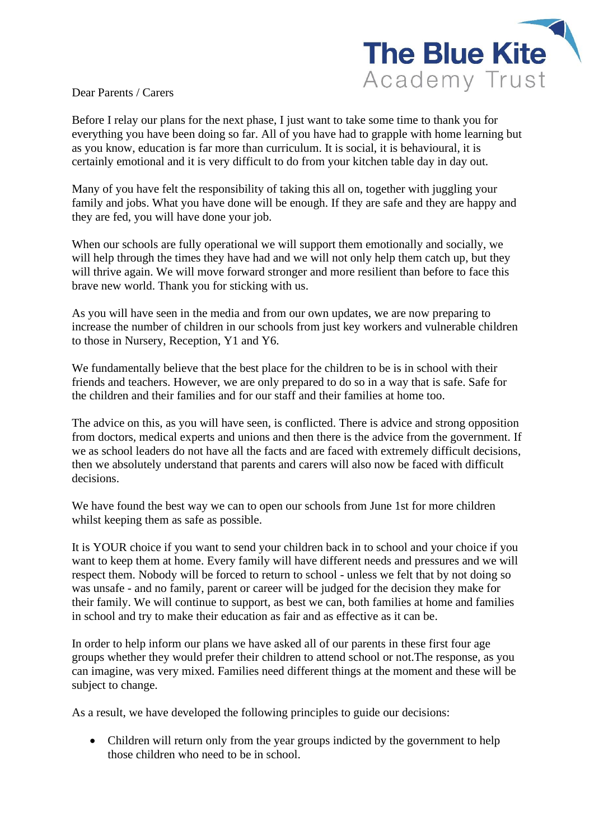

Dear Parents / Carers

Before I relay our plans for the next phase, I just want to take some time to thank you for everything you have been doing so far. All of you have had to grapple with home learning but as you know, education is far more than curriculum. It is social, it is behavioural, it is certainly emotional and it is very difficult to do from your kitchen table day in day out.

Many of you have felt the responsibility of taking this all on, together with juggling your family and jobs. What you have done will be enough. If they are safe and they are happy and they are fed, you will have done your job.

When our schools are fully operational we will support them emotionally and socially, we will help through the times they have had and we will not only help them catch up, but they will thrive again. We will move forward stronger and more resilient than before to face this brave new world. Thank you for sticking with us.

As you will have seen in the media and from our own updates, we are now preparing to increase the number of children in our schools from just key workers and vulnerable children to those in Nursery, Reception, Y1 and Y6.

We fundamentally believe that the best place for the children to be is in school with their friends and teachers. However, we are only prepared to do so in a way that is safe. Safe for the children and their families and for our staff and their families at home too.

The advice on this, as you will have seen, is conflicted. There is advice and strong opposition from doctors, medical experts and unions and then there is the advice from the government. If we as school leaders do not have all the facts and are faced with extremely difficult decisions, then we absolutely understand that parents and carers will also now be faced with difficult decisions.

We have found the best way we can to open our schools from June 1st for more children whilst keeping them as safe as possible.

It is YOUR choice if you want to send your children back in to school and your choice if you want to keep them at home. Every family will have different needs and pressures and we will respect them. Nobody will be forced to return to school - unless we felt that by not doing so was unsafe - and no family, parent or career will be judged for the decision they make for their family. We will continue to support, as best we can, both families at home and families in school and try to make their education as fair and as effective as it can be.

In order to help inform our plans we have asked all of our parents in these first four age groups whether they would prefer their children to attend school or not.The response, as you can imagine, was very mixed. Families need different things at the moment and these will be subject to change.

As a result, we have developed the following principles to guide our decisions:

• Children will return only from the year groups indicted by the government to help those children who need to be in school.